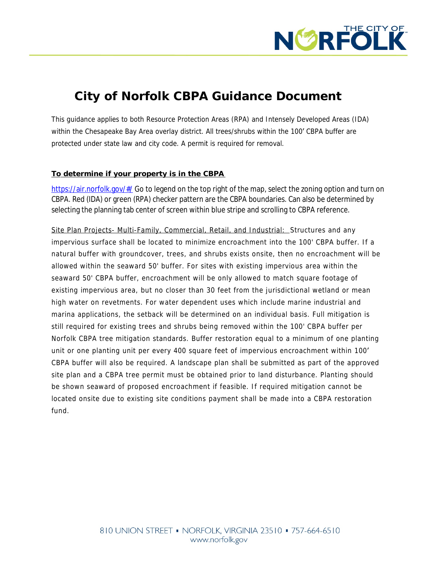

# **City of Norfolk CBPA Guidance Document**

This guidance applies to both Resource Protection Areas (RPA) and Intensely Developed Areas (IDA) within the Chesapeake Bay Area overlay district. All trees/shrubs within the 100' CBPA buffer are protected under state law and city code. A permit is required for removal.

### **To determine if your property is in the CBPA**

https://air.norfolk.gov/#/ Go to legend on the top right of the map, select the zoning option and turn on [CBPA. Red \(IDA\) or green \(RPA\) checker pattern are the CBPA boundaries. Can also be determined by](https://air.norfolk.gov/#/)  [selecting the planning tab center of screen within blue stripe and scrolling to CBPA reference.](https://air.norfolk.gov/#/) 

Site Plan Projects- [Multi-Family,](https://air.norfolk.gov/#/) Commercial, Retail, and Industrial: [Structures](https://air.norfolk.gov/#/) and any impervious surface shall be located to minimize [encroachment](https://air.norfolk.gov/#/) into the 100' CBPA buffer. If a natural buffer with groundcover, trees, and shrubs exists onsite, then no [encroachment](https://air.norfolk.gov/#/) will be allowed within the seaward 50' buffer. For sites with existing [impervious](https://air.norfolk.gov/#/) area within the seaward 50' CBPA buffer, [encroachment](https://air.norfolk.gov/#/) will be only allowed to match square footage of existing impervious area, but no closer than 30 feet from the [jurisdictional](https://air.norfolk.gov/#/) wetland or [mean](https://air.norfolk.gov/#/) high water on [revetments.](https://air.norfolk.gov/#/) For water [dependent](https://air.norfolk.gov/#/) uses which include marine industrial and marina [applications,](https://air.norfolk.gov/#/) the setback will be determined on an individual basis. Full [mitigation](https://air.norfolk.gov/#/) is still required for existing trees and shrubs being [removed](https://air.norfolk.gov/#/) within the 100' CBPA buffer per Norfolk CBPA tree mitigation standards. Buffer [restoration](https://air.norfolk.gov/#/) equal to a minimum of one planting unit or one planting unit per every 400 square feet of impervious [encroachment](https://air.norfolk.gov/#/) within 100' CBPA [buffer](https://air.norfolk.gov/#/) will [also](https://air.norfolk.gov/#/) be required. A [landscape](https://air.norfolk.gov/#/) plan shall be submitted as part of the approved site plan and a CBPA tree permit must be obtained prior to land [disturbance.](https://air.norfolk.gov/#/) Planting should be shown seaward of proposed [encroachment](https://air.norfolk.gov/#/) if feasible. If required mitigation cannot be located onsite due to existing site conditions payment shall be made into a CBPA [restoration](https://air.norfolk.gov/#/) [fund.](https://air.norfolk.gov/#/)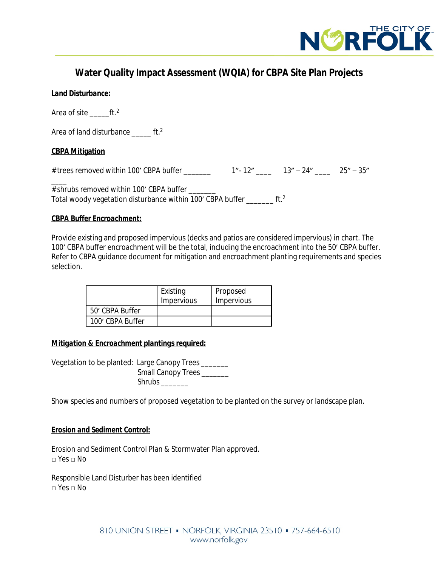

# **Water Quality Impact Assessment (WQIA) for CBPA Site Plan Projects**

## *Land Disturbance:*

Area of site  $ft.^2$ 

Area of land disturbance ft.<sup>2</sup>

## **CBPA Mitigation**

# trees removed within 100' CBPA buffer \_\_\_\_\_\_\_ 1"- 12" \_\_\_\_ 13" – 24" \_\_\_\_ 25" – 35"

 $\overline{\phantom{a}}$ # shrubs removed within 100' CBPA buffer Total woody vegetation disturbance within 100' CBPA buffer \_\_\_\_\_\_\_ ft.<sup>2</sup>

### *CBPA Buffer Encroachment:*

Provide existing and proposed impervious (decks and patios are considered impervious) in chart. The 100' CBPA buffer encroachment will be the total, including the encroachment into the 50' CBPA buffer. Refer to CBPA guidance document for mitigation and encroachment planting requirements and species selection.

|                  | Existing<br>Impervious | Proposed<br>Impervious |
|------------------|------------------------|------------------------|
| 50' CBPA Buffer  |                        |                        |
| 100' CBPA Buffer |                        |                        |

### *Mitigation & Encroachment plantings required:*

Vegetation to be planted: Large Canopy Trees \_\_\_\_\_\_\_ Small Canopy Trees \_\_\_\_\_\_\_ Shrubs \_\_\_\_\_\_\_

Show species and numbers of proposed vegetation to be planted on the survey or landscape plan.

### *Erosion and Sediment Control:*

Erosion and Sediment Control Plan & Stormwater Plan approved. □ Yes □ No

Responsible Land Disturber has been identified  $\neg$  Yes  $\neg$  No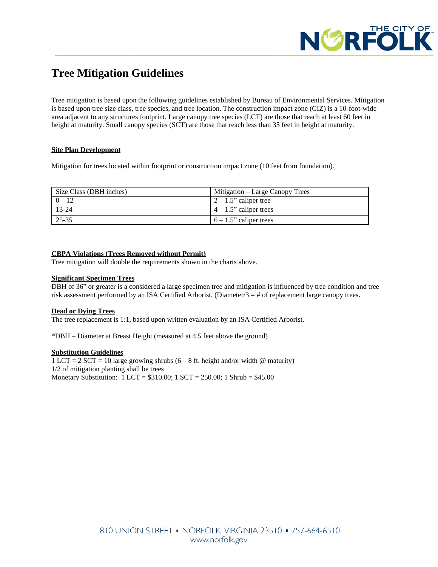

# **Tree Mitigation Guidelines**

Tree mitigation is based upon the following guidelines established by Bureau of Environmental Services. Mitigation is based upon tree size class, tree species, and tree location. The construction impact zone (CIZ) is a 10-foot-wide area adjacent to any structures footprint. Large canopy tree species (LCT) are those that reach at least 60 feet in height at maturity. Small canopy species (SCT) are those that reach less than 35 feet in height at maturity.

### **Site Plan Development**

Mitigation for trees located within footprint or construction impact zone (10 feet from foundation).

| Size Class (DBH inches) | Mitigation – Large Canopy Trees |
|-------------------------|---------------------------------|
| $0 - 12$                | $\left(2 - 1.5$ " caliper tree  |
| $13-24$                 | $\vert$ 4 – 1.5" caliper trees  |
| 25-35                   | $6 - 1.5$ " caliper trees       |

### **CBPA Violations (Trees Removed without Permit)**

Tree mitigation will double the requirements shown in the charts above.

### **Significant Specimen Trees**

DBH of 36" or greater is a considered a large specimen tree and mitigation is influenced by tree condition and tree risk assessment performed by an ISA Certified Arborist. (Diameter/3 = # of replacement large canopy trees.

### **Dead or Dying Trees**

The tree replacement is 1:1, based upon written evaluation by an ISA Certified Arborist.

\*DBH – Diameter at Breast Height (measured at 4.5 feet above the ground)

### **Substitution Guidelines**

 $1$  LCT = 2 SCT = 10 large growing shrubs (6 – 8 ft. height and/or width @ maturity) 1/2 of mitigation planting shall be trees Monetary Substitution: 1 LCT = \$310.00; 1 SCT = 250.00; 1 Shrub = \$45.00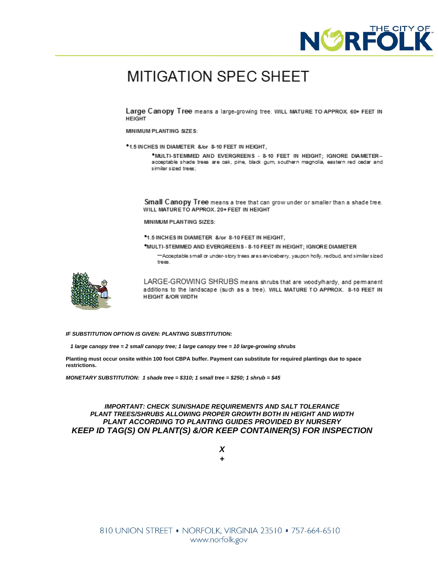

# **MITIGATION SPEC SHEET**

Large Canopy Tree means a large-growing tree. WILL MATURE TO APPROX 60+ FEET IN **HEIGHT** 

MINIMUM PLANTING SIZES:

\*1.5 INCHES IN DIAMETER &/or 8-10 FEET IN HEIGHT,

\*MULTI-STEMMED AND EVERGREENS - 8-10 FEET IN HEIGHT: IGNORE DIAMETER-acceptable shade trees are oak, pine, black gum, southern magnolia, eastern red cedar and similar sized trees;

Small Canopy Tree means a tree that can grow under or smaller than a shade tree. WILL MATURE TO APPROX. 20+ FEET IN HEIGHT

MINIMUM PLANTING SIZES:

\*1.5 INCHES IN DIAMETER &/or 8-10 FEET IN HEIGHT,

\*MULTI-STEMMED AND EVERGREENS-8-10 FEET IN HEIGHT: IGNORE DIAMETER

-Acceptable small or under-story trees ares erviceberry, yaupon holly, redbud, and similar sized trees.



LARGE-GROWING SHRUBS means shrubs that are wood whardy, and permanent additions to the landscape (such as a tree). WILL MATURE TO APPROX. 8-10 FEET IN **HEIGHT &/OR WIDTH** 

*IF SUBSTITUTION OPTION IS GIVEN: PLANTING SUBSTITUTION:*

 *1 large canopy tree = 2 small canopy tree; 1 large canopy tree = 10 large-growing shrubs*

**Planting must occur onsite within 100 foot CBPA buffer. Payment can substitute for required plantings due to space restrictions.**

*MONETARY SUBSTITUTION: 1 shade tree = \$310; 1 small tree = \$250; 1 shrub = \$45*

#### *IMPORTANT: CHECK SUN/SHADE REQUIREMENTS AND SALT TOLERANCE PLANT TREES/SHRUBS ALLOWING PROPER GROWTH BOTH IN HEIGHT AND WIDTH PLANT ACCORDING TO PLANTING GUIDES PROVIDED BY NURSERY KEEP ID TAG(S) ON PLANT(S) &/OR KEEP CONTAINER(S) FOR INSPECTION*

*X +*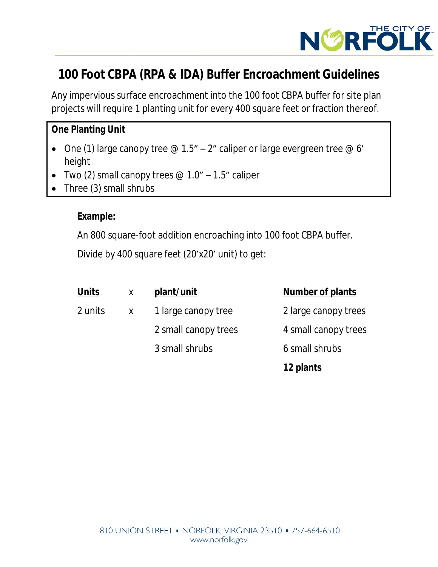

# **100 Foot CBPA (RPA & IDA) Buffer Encroachment Guidelines**

Any impervious surface encroachment into the 100 foot CBPA buffer for site plan projects will require 1 planting unit for every 400 square feet or fraction thereof.

# **One Planting Unit**

- One (1) large canopy tree  $\mathcal{Q}$  1.5" 2" caliper or large evergreen tree  $\mathcal{Q}$  6' height
- Two (2) small canopy trees  $\varnothing$  1.0" 1.5" caliper
- Three (3) small shrubs

# **Example:**

An 800 square-foot addition encroaching into 100 foot CBPA buffer.

Divide by 400 square feet (20'x20' unit) to get:

| <b>Units</b> | X            | plant/unit           | <b>Number of plants</b> |
|--------------|--------------|----------------------|-------------------------|
| 2 units      | $\mathsf{X}$ | 1 large canopy tree  | 2 large canopy trees    |
|              |              | 2 small canopy trees | 4 small canopy trees    |
|              |              | 3 small shrubs       | 6 small shrubs          |
|              |              |                      | 12 plants               |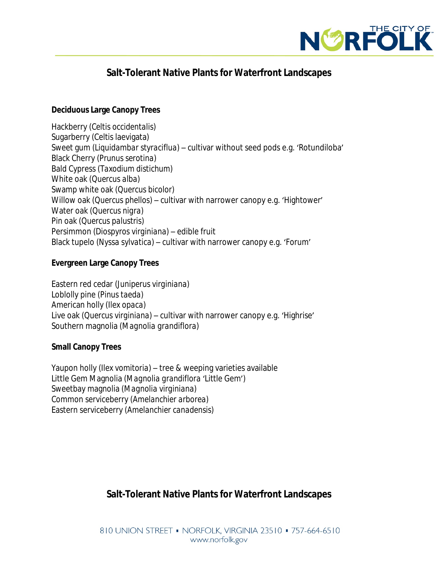

# **Salt-Tolerant Native Plants for Waterfront Landscapes**

## **Deciduous Large Canopy Trees**

Hackberry (*Celtis occidentalis*) Sugarberry (Celtis laevigata) Sweet gum (*Liquidambar styraciflua*) – cultivar without seed pods e.g. 'Rotundiloba' Black Cherry (*Prunus serotina*) Bald Cypress (*Taxodium distichum*) White oak (*Quercus alba*) Swamp white oak (*Quercus bicolor*) Willow oak (*Quercus phellos*) – cultivar with narrower canopy e.g. 'Hightower' Water oak (*Quercus nigra*) Pin oak (*Quercus palustris*) Persimmon (*Diospyros virginiana*) – edible fruit Black tupelo (*Nyssa sylvatica*) – cultivar with narrower canopy e.g. 'Forum'

# **Evergreen Large Canopy Trees**

Eastern red cedar (*Juniperus virginiana*) Loblolly pine (*Pinus taeda*) American holly (*Ilex opaca*) Live oak (*Quercus virginiana*) – cultivar with narrower canopy e.g. 'Highrise' Southern magnolia (*Magnolia grandiflora*)

## **Small Canopy Trees**

Yaupon holly (*Ilex vomitoria*) – tree & weeping varieties available Little Gem Magnolia (*Magnolia grandiflora* 'Little Gem') Sweetbay magnolia (*Magnolia virginiana*) Common serviceberry (*Amelanchier arborea*) Eastern serviceberry (*Amelanchier canadensis*)

# **Salt-Tolerant Native Plants for Waterfront Landscapes**